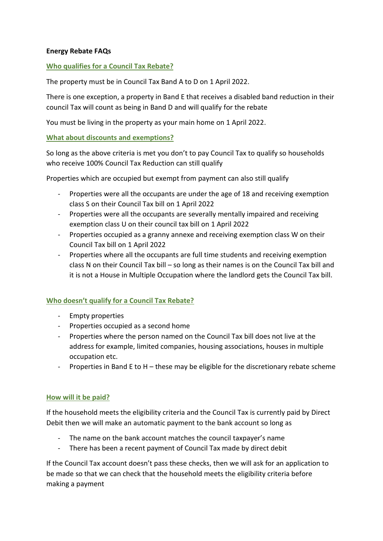### **Energy Rebate FAQs**

### **Who qualifies for a Council Tax Rebate?**

The property must be in Council Tax Band A to D on 1 April 2022.

There is one exception, a property in Band E that receives a disabled band reduction in their council Tax will count as being in Band D and will qualify for the rebate

You must be living in the property as your main home on 1 April 2022.

#### **What about discounts and exemptions?**

So long as the above criteria is met you don't to pay Council Tax to qualify so households who receive 100% Council Tax Reduction can still qualify

Properties which are occupied but exempt from payment can also still qualify

- Properties were all the occupants are under the age of 18 and receiving exemption class S on their Council Tax bill on 1 April 2022
- Properties were all the occupants are severally mentally impaired and receiving exemption class U on their council tax bill on 1 April 2022
- Properties occupied as a granny annexe and receiving exemption class W on their Council Tax bill on 1 April 2022
- Properties where all the occupants are full time students and receiving exemption class N on their Council Tax bill – so long as their names is on the Council Tax bill and it is not a House in Multiple Occupation where the landlord gets the Council Tax bill.

### **Who doesn't qualify for a Council Tax Rebate?**

- Empty properties
- Properties occupied as a second home
- Properties where the person named on the Council Tax bill does not live at the address for example, limited companies, housing associations, houses in multiple occupation etc.
- Properties in Band E to H these may be eligible for the discretionary rebate scheme

#### **How will it be paid?**

If the household meets the eligibility criteria and the Council Tax is currently paid by Direct Debit then we will make an automatic payment to the bank account so long as

- The name on the bank account matches the council taxpayer's name
- There has been a recent payment of Council Tax made by direct debit

If the Council Tax account doesn't pass these checks, then we will ask for an application to be made so that we can check that the household meets the eligibility criteria before making a payment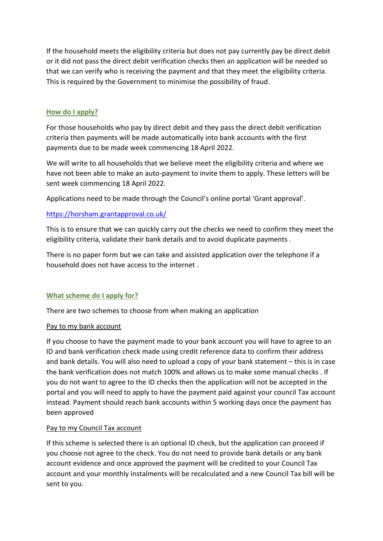If the household meets the eligibility criteria but does not pay currently pay be direct debit or it did not pass the direct debit verification checks then an application will be needed so that we can verify who is receiving the payment and that they meet the eligibility criteria. This is required by the Government to minimise the possibility of fraud.

## **How do I apply?**

For those households who pay by direct debit and they pass the direct debit verification criteria then payments will be made automatically into bank accounts with the first payments due to be made week commencing 18 April 2022.

We will write to all households that we believe meet the eligibility criteria and where we have not been able to make an auto-payment to invite them to apply. These letters will be sent week commencing 18 April 2022.

Applications need to be made through the Council's online portal 'Grant approval'.

# https://horsham.grantapproval.co.uk/

This is to ensure that we can quickly carry out the checks we need to confirm they meet the eligibility criteria, validate their bank details and to avoid duplicate payments .

There is no paper form but we can take and assisted application over the telephone if a household does not have access to the internet .

### **What scheme do I apply for?**

There are two schemes to choose from when making an application

### Pay to my bank account

If you choose to have the payment made to your bank account you will have to agree to an ID and bank verification check made using credit reference data to confirm their address and bank details. You will also need to upload a copy of your bank statement – this is in case the bank verification does not match 100% and allows us to make some manual checks . If you do not want to agree to the ID checks then the application will not be accepted in the portal and you will need to apply to have the payment paid against your council Tax account instead. Payment should reach bank accounts within 5 working days once the payment has been approved

### Pay to my Council Tax account

If this scheme is selected there is an optional ID check, but the application can proceed if you choose not agree to the check. You do not need to provide bank details or any bank account evidence and once approved the payment will be credited to your Council Tax account and your monthly instalments will be recalculated and a new Council Tax bill will be sent to you.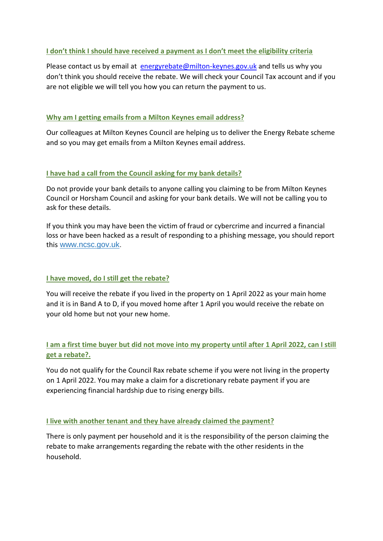### **I don't think I should have received a payment as I don't meet the eligibility criteria**

Please contact us by email at [energyrebate@milton-keynes.gov.uk](mailto:energyrebate@milton-keynes.gov.uk) and tells us why you don't think you should receive the rebate. We will check your Council Tax account and if you are not eligible we will tell you how you can return the payment to us.

### **Why am I getting emails from a Milton Keynes email address?**

Our colleagues at Milton Keynes Council are helping us to deliver the Energy Rebate scheme and so you may get emails from a Milton Keynes email address.

### **I have had a call from the Council asking for my bank details?**

Do not provide your bank details to anyone calling you claiming to be from Milton Keynes Council or Horsham Council and asking for your bank details. We will not be calling you to ask for these details.

If you think you may have been the victim of fraud or cybercrime and incurred a financial loss or have been hacked as a result of responding to a phishing message, you should report this [www.ncsc.gov.uk.](https://www.ncsc.gov.uk/collection/phishing-scams/report-scam-email)

### **I have moved, do I still get the rebate?**

You will receive the rebate if you lived in the property on 1 April 2022 as your main home and it is in Band A to D, if you moved home after 1 April you would receive the rebate on your old home but not your new home.

# **I am a first time buyer but did not move into my property until after 1 April 2022, can I still get a rebate?.**

You do not qualify for the Council Rax rebate scheme if you were not living in the property on 1 April 2022. You may make a claim for a discretionary rebate payment if you are experiencing financial hardship due to rising energy bills.

### **I live with another tenant and they have already claimed the payment?**

There is only payment per household and it is the responsibility of the person claiming the rebate to make arrangements regarding the rebate with the other residents in the household.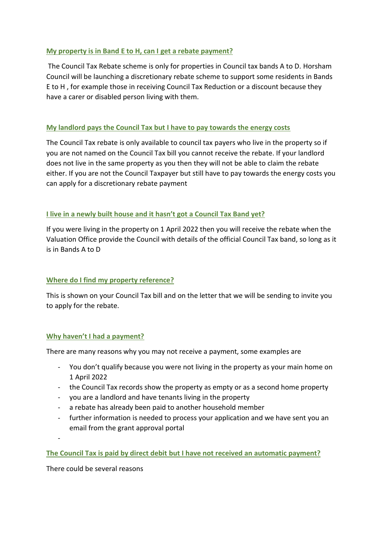## **My property is in Band E to H, can I get a rebate payment?**

The Council Tax Rebate scheme is only for properties in Council tax bands A to D. Horsham Council will be launching a discretionary rebate scheme to support some residents in Bands E to H , for example those in receiving Council Tax Reduction or a discount because they have a carer or disabled person living with them.

# **My landlord pays the Council Tax but I have to pay towards the energy costs**

The Council Tax rebate is only available to council tax payers who live in the property so if you are not named on the Council Tax bill you cannot receive the rebate. If your landlord does not live in the same property as you then they will not be able to claim the rebate either. If you are not the Council Taxpayer but still have to pay towards the energy costs you can apply for a discretionary rebate payment

# **I live in a newly built house and it hasn't got a Council Tax Band yet?**

If you were living in the property on 1 April 2022 then you will receive the rebate when the Valuation Office provide the Council with details of the official Council Tax band, so long as it is in Bands A to D

### **Where do I find my property reference?**

This is shown on your Council Tax bill and on the letter that we will be sending to invite you to apply for the rebate.

### **Why haven't I had a payment?**

There are many reasons why you may not receive a payment, some examples are

- You don't qualify because you were not living in the property as your main home on 1 April 2022
- the Council Tax records show the property as empty or as a second home property
- you are a landlord and have tenants living in the property
- a rebate has already been paid to another household member
- further information is needed to process your application and we have sent you an email from the grant approval portal

-

**The Council Tax is paid by direct debit but I have not received an automatic payment?**

There could be several reasons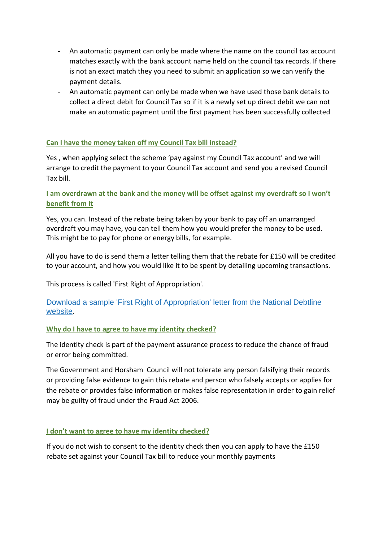- An automatic payment can only be made where the name on the council tax account matches exactly with the bank account name held on the council tax records. If there is not an exact match they you need to submit an application so we can verify the payment details.
- An automatic payment can only be made when we have used those bank details to collect a direct debit for Council Tax so if it is a newly set up direct debit we can not make an automatic payment until the first payment has been successfully collected

# **Can I have the money taken off my Council Tax bill instead?**

Yes , when applying select the scheme 'pay against my Council Tax account' and we will arrange to credit the payment to your Council Tax account and send you a revised Council Tax bill.

# **I am overdrawn at the bank and the money will be offset against my overdraft so I won't benefit from it**

Yes, you can. Instead of the rebate being taken by your bank to pay off an unarranged overdraft you may have, you can tell them how you would prefer the money to be used. This might be to pay for phone or energy bills, for example.

All you have to do is send them a letter telling them that the rebate for £150 will be credited to your account, and how you would like it to be spent by detailing upcoming transactions.

This process is called 'First Right of Appropriation'.

### [Download a sample 'First Right of Appropriation' letter from the National Debtline](https://www.eastriding.gov.uk/EasySiteWeb/GatewayLink.aspx?alId=822973)  [website.](https://www.eastriding.gov.uk/EasySiteWeb/GatewayLink.aspx?alId=822973)

### **Why do I have to agree to have my identity checked?**

The identity check is part of the payment assurance process to reduce the chance of fraud or error being committed.

The Government and Horsham Council will not tolerate any person falsifying their records or providing false evidence to gain this rebate and person who falsely accepts or applies for the rebate or provides false information or makes false representation in order to gain relief may be guilty of fraud under the Fraud Act 2006.

#### **I don't want to agree to have my identity checked?**

If you do not wish to consent to the identity check then you can apply to have the £150 rebate set against your Council Tax bill to reduce your monthly payments